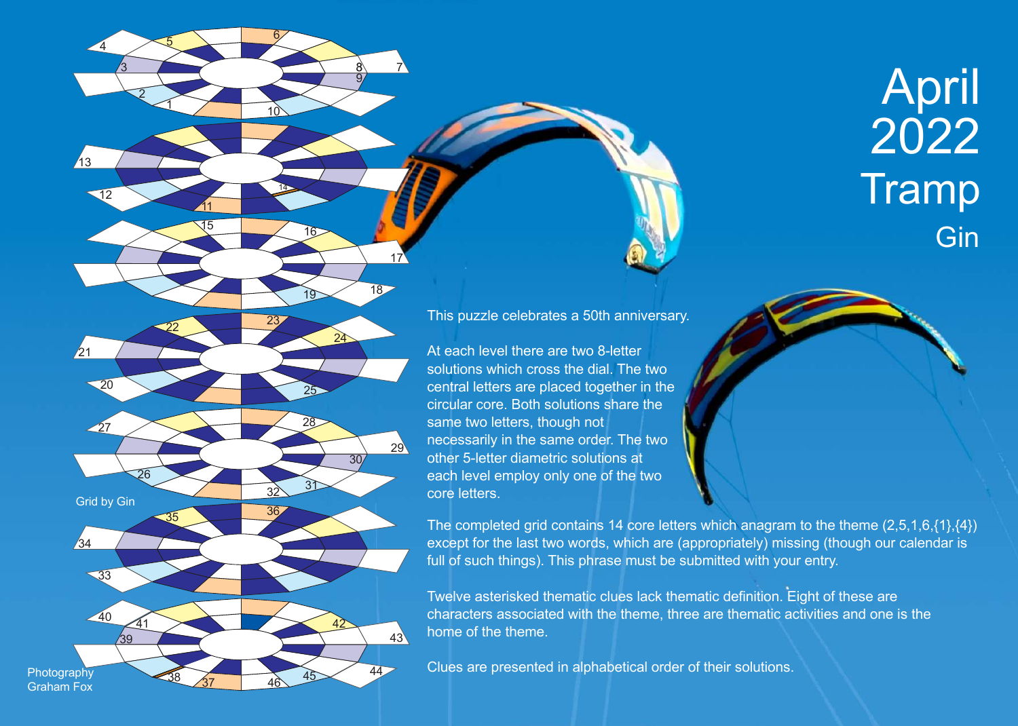



1

<u>11</u>

5

 $\overline{\mathsf{8}}$ 9 7

17

14

6

<u> 10</u>

<sup>15</sup> <sup>16</sup>

2

<u>3</u>

4

 $\overline{12}$ 

 $\sqrt{13}$ 

This puzzle celebrates a 50th anniversary.

At each level there are two 8-letter solutions which cross the dial. The two central letters are placed together in the circular core. Both solutions share the same two letters, though not necessarily in the same order. The two other 5-letter diametric solutions at each level employ only one of the two core letters.

The completed grid contains 14 core letters which anagram to the theme (2,5,1,6,{1},{4}) except for the last two words, which are (appropriately) missing (though our calendar is full of such things). This phrase must be submitted with your entry.

Twelve asterisked thematic clues lack thematic definition. Eight of these are characters associated with the theme, three are thematic activities and one is the home of the theme.

Clues are presented in alphabetical order of their solutions.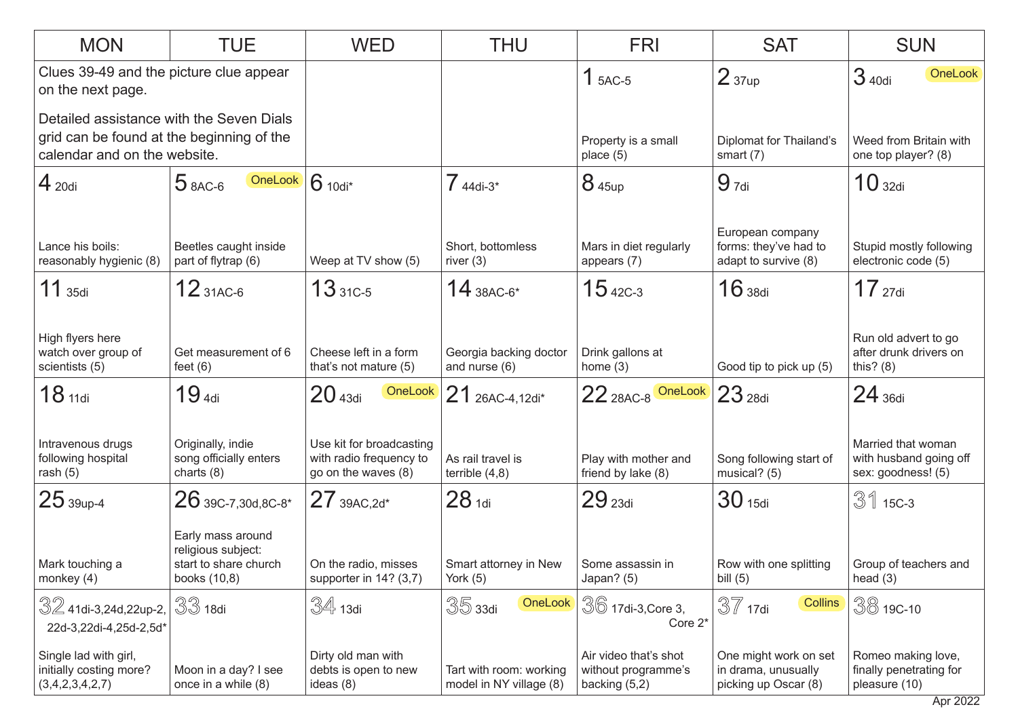| <b>MON</b>                                                                                                            | <b>TUE</b>                                                                       | <b>WED</b>                                                                 | <b>THU</b>                                         | <b>FRI</b>                                                    | <b>SAT</b>                                                           | <b>SUN</b>                                                         |
|-----------------------------------------------------------------------------------------------------------------------|----------------------------------------------------------------------------------|----------------------------------------------------------------------------|----------------------------------------------------|---------------------------------------------------------------|----------------------------------------------------------------------|--------------------------------------------------------------------|
| Clues 39-49 and the picture clue appear<br>on the next page.                                                          |                                                                                  |                                                                            |                                                    | $1$ 5AC-5                                                     | 2 <sub>37up</sub>                                                    | 3 40di<br>OneLook                                                  |
| Detailed assistance with the Seven Dials<br>grid can be found at the beginning of the<br>calendar and on the website. |                                                                                  |                                                                            |                                                    | Property is a small<br>place $(5)$                            | <b>Diplomat for Thailand's</b><br>smart $(7)$                        | Weed from Britain with<br>one top player? (8)                      |
| $4_{20di}$                                                                                                            | OneLook<br>$5$ 8AC-6                                                             | $6$ 10di <sup>*</sup>                                                      | $744di-3*$                                         | 8 45up                                                        | $9_{7di}$                                                            | 10 <sub>32di</sub>                                                 |
| Lance his boils:<br>reasonably hygienic (8)                                                                           | Beetles caught inside<br>part of flytrap (6)                                     | Weep at TV show (5)                                                        | Short, bottomless<br>river $(3)$                   | Mars in diet regularly<br>appears (7)                         | European company<br>forms: they've had to<br>adapt to survive (8)    | Stupid mostly following<br>electronic code (5)                     |
| $11$ 35di                                                                                                             | $12_{31AC-6}$                                                                    | $1331C-5$                                                                  | $14$ 38AC-6*                                       | $15$ 42C-3                                                    | $16$ 38di                                                            | $17$ 27di                                                          |
| High flyers here<br>watch over group of<br>scientists (5)                                                             | Get measurement of 6<br>feet $(6)$                                               | Cheese left in a form<br>that's not mature (5)                             | Georgia backing doctor<br>and nurse (6)            | Drink gallons at<br>home $(3)$                                | Good tip to pick up (5)                                              | Run old advert to go<br>after drunk drivers on<br>this? $(8)$      |
| 18 <sub>11di</sub>                                                                                                    | 19 <sub>4di</sub>                                                                | 20 <sub>43di</sub><br>OneLook                                              | 21 26AC-4,12di*                                    | $22_{\,28AC-8}$ OneLook $23_{\,28di}$                         |                                                                      | $24$ 36di                                                          |
| Intravenous drugs<br>following hospital<br>rash $(5)$                                                                 | Originally, indie<br>song officially enters<br>charts $(8)$                      | Use kit for broadcasting<br>with radio frequency to<br>go on the waves (8) | As rail travel is<br>terrible $(4,8)$              | Play with mother and<br>friend by lake (8)                    | Song following start of<br>musical? (5)                              | Married that woman<br>with husband going off<br>sex: goodness! (5) |
| $25$ 39up-4                                                                                                           | $26$ 39C-7,30d,8C-8*                                                             | $27_{\,39AC,2d^*}$                                                         | 28 <sub>1di</sub>                                  | 29 <sub>23di</sub>                                            | 30 <sub>15di</sub>                                                   | $31$ 15C-3                                                         |
| Mark touching a<br>monkey $(4)$                                                                                       | Early mass around<br>religious subject:<br>start to share church<br>books (10,8) | On the radio, misses<br>supporter in 14? (3,7)                             | Smart attorney in New<br>York $(5)$                | Some assassin in<br>Japan? (5)                                | Row with one splitting<br>bill $(5)$                                 | Group of teachers and<br>head $(3)$                                |
| $32$ 41di-3,24d,22up-2,<br>22d-3,22di-4,25d-2,5d*                                                                     | $33$ 18di                                                                        | 34 13di                                                                    | $35$ 33di<br>OneLook                               | 36 17di-3, Core 3,<br>Core 2 <sup>*</sup>                     | $37$ 17di<br><b>Collins</b>                                          | $30019C-10$                                                        |
| Single lad with girl,<br>initially costing more?<br>(3,4,2,3,4,2,7)                                                   | Moon in a day? I see<br>once in a while (8)                                      | Dirty old man with<br>debts is open to new<br>ideas $(8)$                  | Tart with room: working<br>model in NY village (8) | Air video that's shot<br>without programme's<br>backing (5,2) | One might work on set<br>in drama, unusually<br>picking up Oscar (8) | Romeo making love,<br>finally penetrating for<br>pleasure (10)     |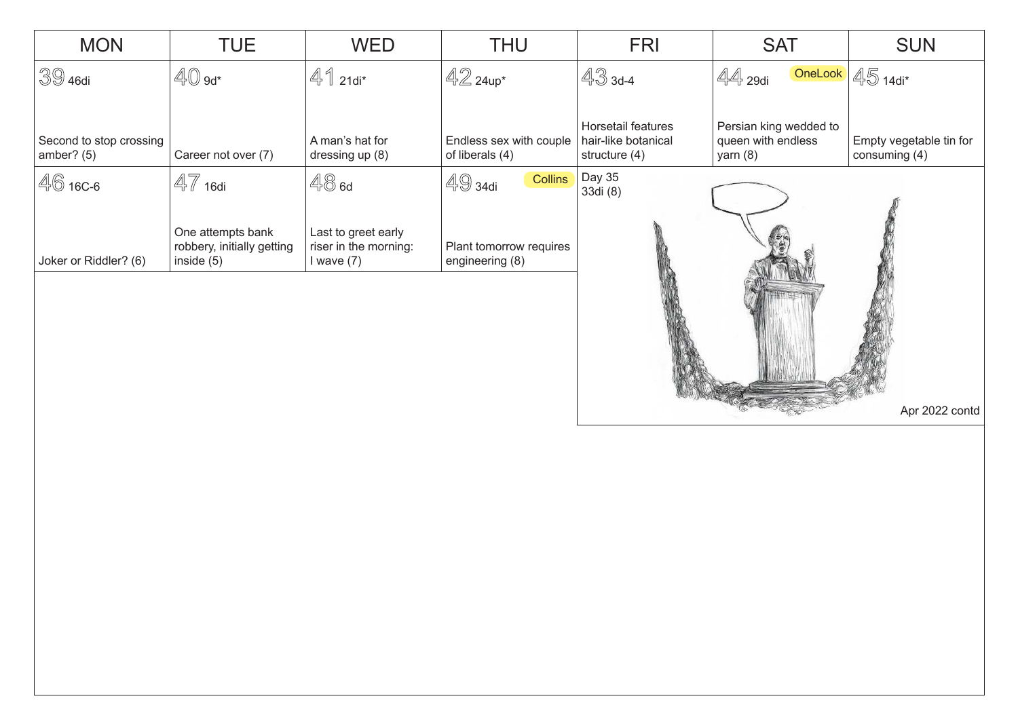| <b>MON</b>                              | <b>TUE</b>                                                      | <b>WED</b>                                                   | <b>THU</b>                                 | <b>FRI</b>                                                   | <b>SAT</b>                                                 | <b>SUN</b>                               |
|-----------------------------------------|-----------------------------------------------------------------|--------------------------------------------------------------|--------------------------------------------|--------------------------------------------------------------|------------------------------------------------------------|------------------------------------------|
| $3946$ di                               | $40$ $9d*$                                                      | $41$ 21di*                                                   | $42$ 24up*                                 | $433 - 4$                                                    | OneLook<br>$\mathbb{4}$ 29di                               | $45$ 14di*                               |
| Second to stop crossing<br>amber? $(5)$ | Career not over (7)                                             | A man's hat for<br>dressing up (8)                           | Endless sex with couple<br>of liberals (4) | Horsetail features<br>hair-like botanical<br>structure $(4)$ | Persian king wedded to<br>queen with endless<br>yarn $(8)$ | Empty vegetable tin for<br>consuming (4) |
| 46 16C-6                                | $47$ 16di                                                       | 48a                                                          | $4934$ di<br><b>Collins</b>                | Day 35<br>33di (8)                                           |                                                            |                                          |
| Joker or Riddler? (6)                   | One attempts bank<br>robbery, initially getting<br>inside $(5)$ | Last to greet early<br>riser in the morning:<br>I wave $(7)$ | Plant tomorrow requires<br>engineering (8) |                                                              |                                                            |                                          |
|                                         |                                                                 |                                                              |                                            |                                                              |                                                            |                                          |
|                                         |                                                                 |                                                              |                                            |                                                              |                                                            | Apr 2022 contd                           |